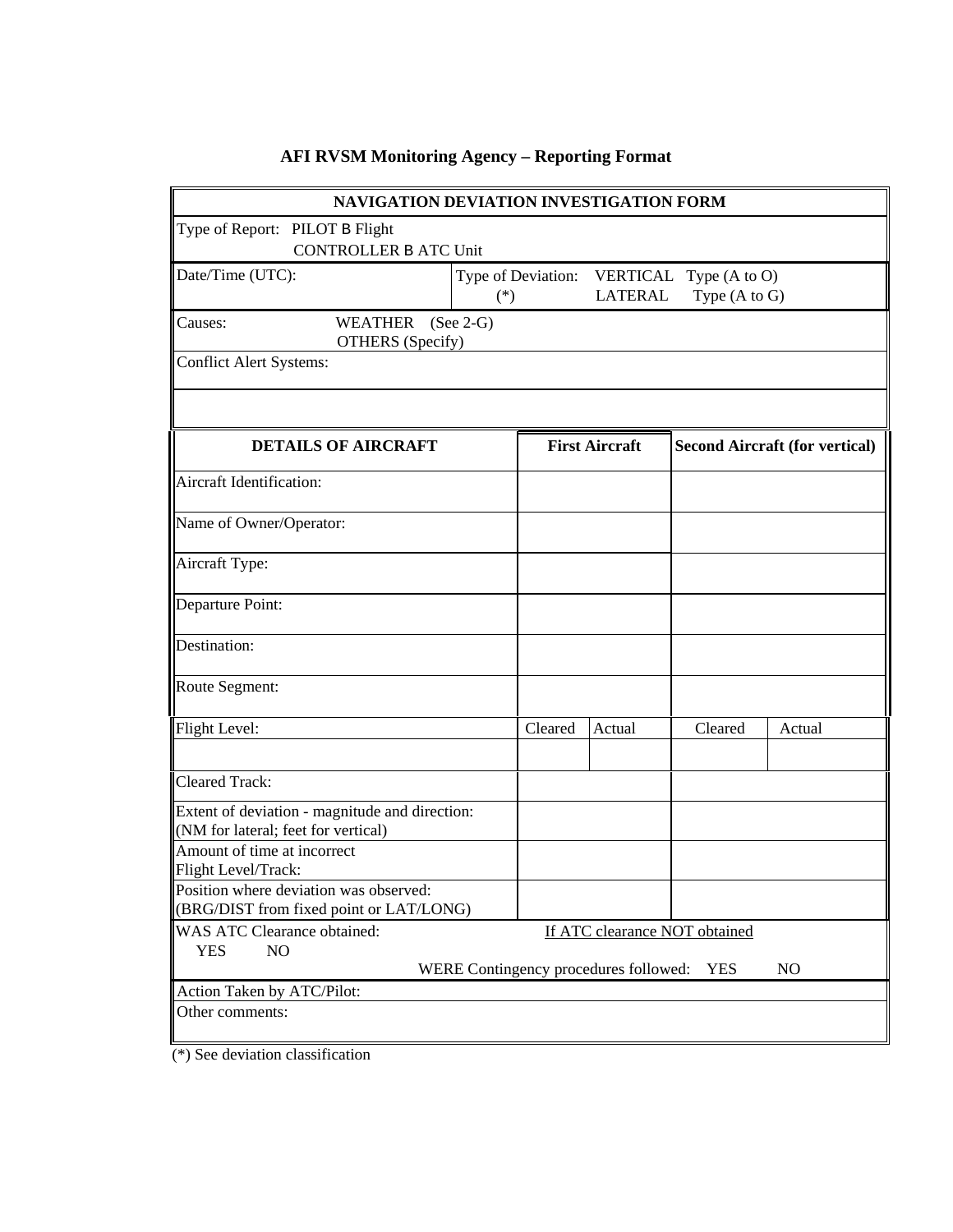| NAVIGATION DEVIATION INVESTIGATION FORM                                                   |                                                                      |                       |               |                                       |        |
|-------------------------------------------------------------------------------------------|----------------------------------------------------------------------|-----------------------|---------------|---------------------------------------|--------|
| Type of Report: PILOT B Flight<br><b>CONTROLLER B ATC Unit</b>                            |                                                                      |                       |               |                                       |        |
| Date/Time (UTC):                                                                          | Type of Deviation: VERTICAL Type (A to O)<br><b>LATERAL</b><br>$(*)$ |                       | Type (A to G) |                                       |        |
| <b>WEATHER</b><br>Causes:<br><b>OTHERS</b> (Specify)                                      | $(See 2-G)$                                                          |                       |               |                                       |        |
| <b>Conflict Alert Systems:</b>                                                            |                                                                      |                       |               |                                       |        |
|                                                                                           |                                                                      |                       |               |                                       |        |
| <b>DETAILS OF AIRCRAFT</b>                                                                |                                                                      | <b>First Aircraft</b> |               | <b>Second Aircraft (for vertical)</b> |        |
| Aircraft Identification:                                                                  |                                                                      |                       |               |                                       |        |
| Name of Owner/Operator:                                                                   |                                                                      |                       |               |                                       |        |
| Aircraft Type:                                                                            |                                                                      |                       |               |                                       |        |
| Departure Point:                                                                          |                                                                      |                       |               |                                       |        |
| Destination:                                                                              |                                                                      |                       |               |                                       |        |
| Route Segment:                                                                            |                                                                      |                       |               |                                       |        |
| Flight Level:                                                                             |                                                                      | Cleared               | Actual        | Cleared                               | Actual |
|                                                                                           |                                                                      |                       |               |                                       |        |
| <b>Cleared Track:</b>                                                                     |                                                                      |                       |               |                                       |        |
| Extent of deviation - magnitude and direction:<br>(NM for lateral; feet for vertical)     |                                                                      |                       |               |                                       |        |
| Amount of time at incorrect<br>Flight Level/Track:                                        |                                                                      |                       |               |                                       |        |
| Position where deviation was observed:<br>(BRG/DIST from fixed point or LAT/LONG)         |                                                                      |                       |               |                                       |        |
| WAS ATC Clearance obtained:<br>If ATC clearance NOT obtained                              |                                                                      |                       |               |                                       |        |
| <b>YES</b><br>NO<br>WERE Contingency procedures followed:<br><b>YES</b><br>N <sub>O</sub> |                                                                      |                       |               |                                       |        |
| Action Taken by ATC/Pilot:                                                                |                                                                      |                       |               |                                       |        |
| Other comments:                                                                           |                                                                      |                       |               |                                       |        |

# **AFI RVSM Monitoring Agency – Reporting Format**

(\*) See deviation classification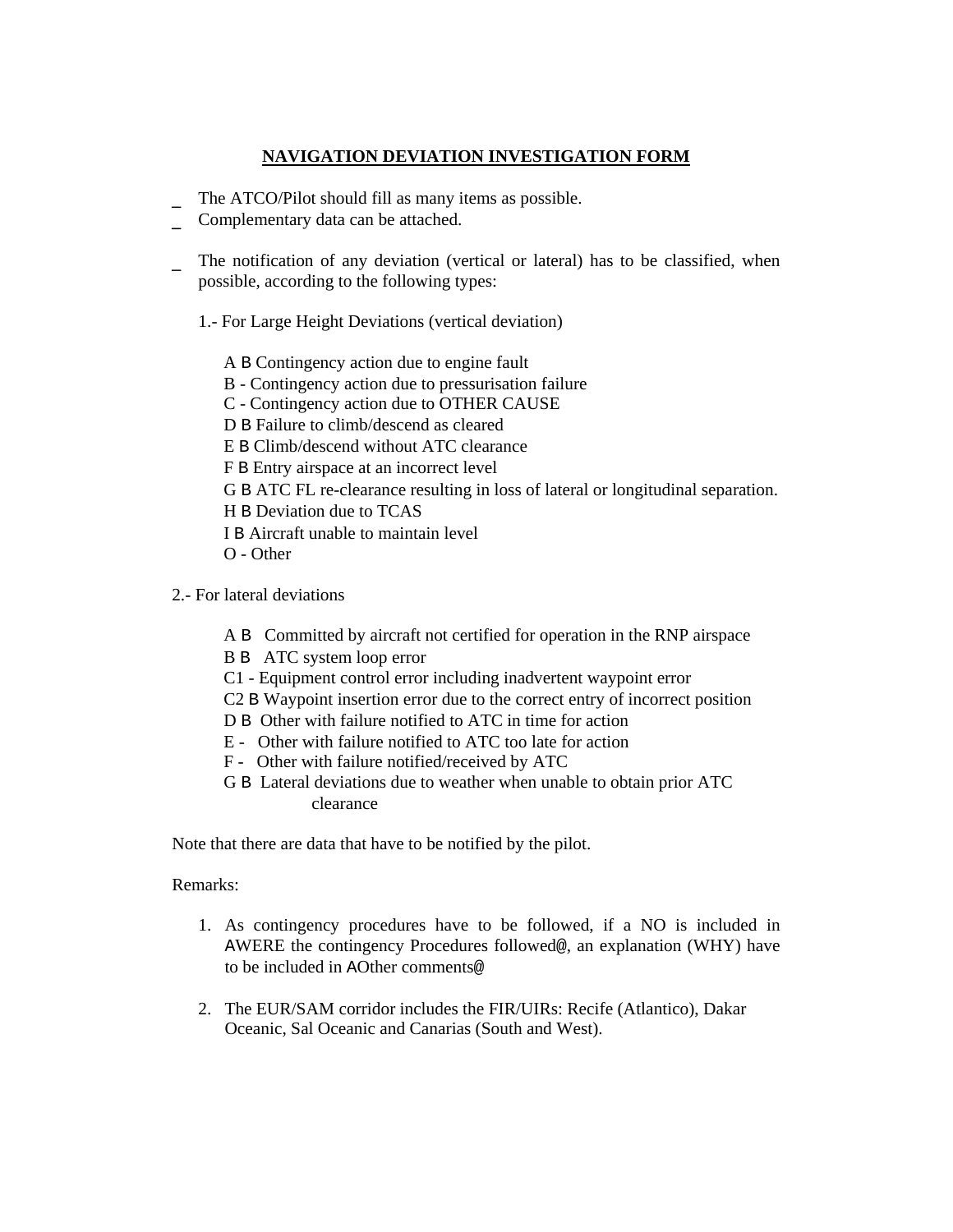#### **NAVIGATION DEVIATION INVESTIGATION FORM**

- The ATCO/Pilot should fill as many items as possible.
- Complementary data can be attached.
- The notification of any deviation (vertical or lateral) has to be classified, when possible, according to the following types:
	- 1.- For Large Height Deviations (vertical deviation)

A B Contingency action due to engine fault B - Contingency action due to pressurisation failure C - Contingency action due to OTHER CAUSE D B Failure to climb/descend as cleared E B Climb/descend without ATC clearance F B Entry airspace at an incorrect level G B ATC FL re-clearance resulting in loss of lateral or longitudinal separation. H B Deviation due to TCAS I B Aircraft unable to maintain level O - Other

- 2.- For lateral deviations
	- A B Committed by aircraft not certified for operation in the RNP airspace
	- B B ATC system loop error
	- C1 Equipment control error including inadvertent waypoint error
	- C2 B Waypoint insertion error due to the correct entry of incorrect position
	- D B Other with failure notified to ATC in time for action
	- E Other with failure notified to ATC too late for action
	- F Other with failure notified/received by ATC
	- G B Lateral deviations due to weather when unable to obtain prior ATC clearance

Note that there are data that have to be notified by the pilot.

#### Remarks:

- 1. As contingency procedures have to be followed, if a NO is included in AWERE the contingency Procedures followed@, an explanation (WHY) have to be included in AOther comments@
- 2. The EUR/SAM corridor includes the FIR/UIRs: Recife (Atlantico), Dakar Oceanic, Sal Oceanic and Canarias (South and West).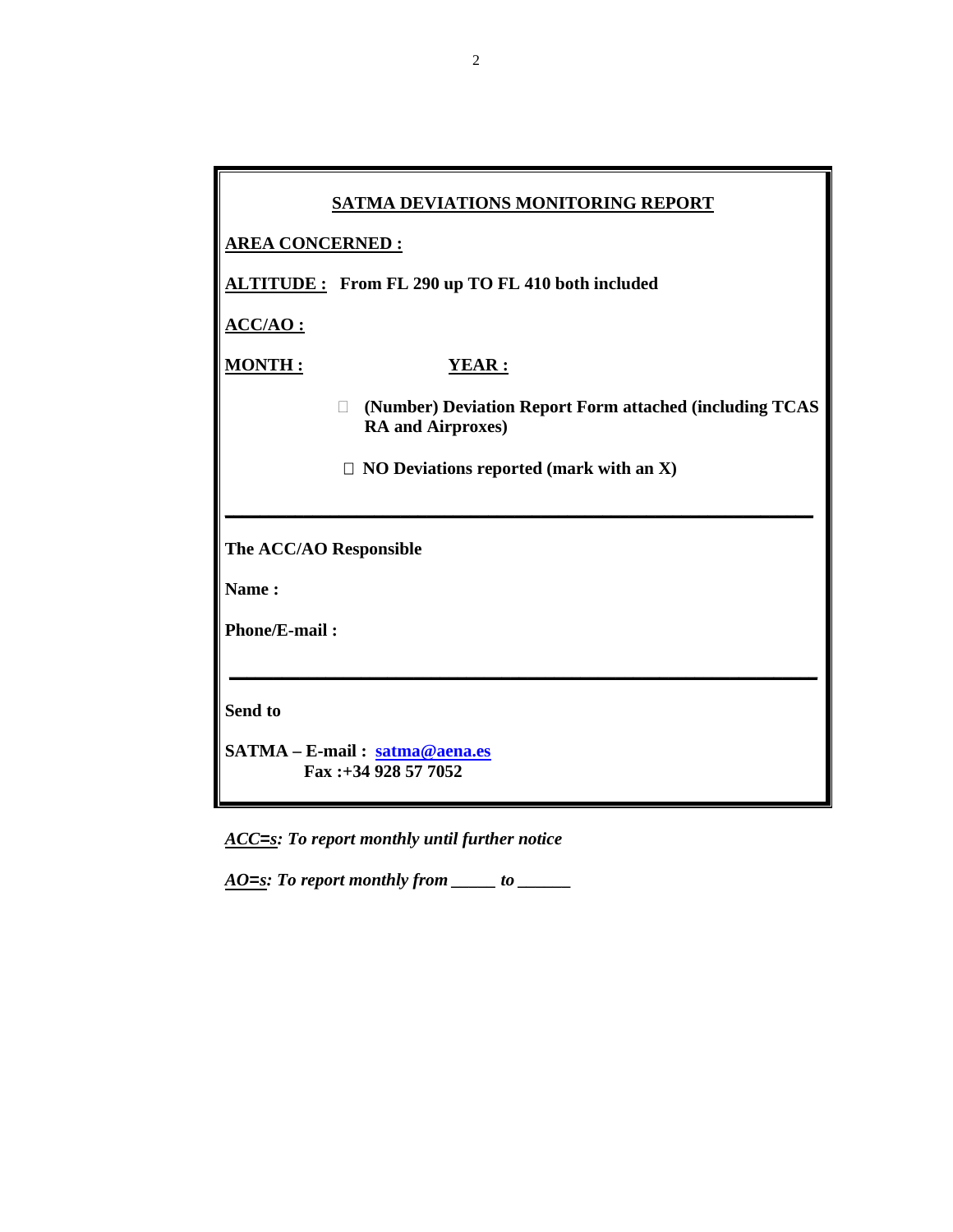|                        | SATMA DEVIATIONS MONITORING REPORT                                                  |  |
|------------------------|-------------------------------------------------------------------------------------|--|
| <b>AREA CONCERNED:</b> |                                                                                     |  |
|                        | ALTITUDE: From FL 290 up TO FL 410 both included                                    |  |
| <b>ACC/AO:</b>         |                                                                                     |  |
| <b>MONTH:</b>          | <b>YEAR:</b>                                                                        |  |
|                        | (Number) Deviation Report Form attached (including TCAS<br><b>RA</b> and Airproxes) |  |
|                        | $\Box$ NO Deviations reported (mark with an X)                                      |  |
|                        |                                                                                     |  |
| The ACC/AO Responsible |                                                                                     |  |
| Name:                  |                                                                                     |  |
| <b>Phone/E-mail:</b>   |                                                                                     |  |
|                        |                                                                                     |  |
| Send to                |                                                                                     |  |
|                        | SATMA - E-mail: satma@aena.es<br>Fax:+34 928 57 7052                                |  |

*ACC=s: To report monthly until further notice* 

*AO=s: To report monthly from \_\_\_\_\_ to \_\_\_\_\_\_*